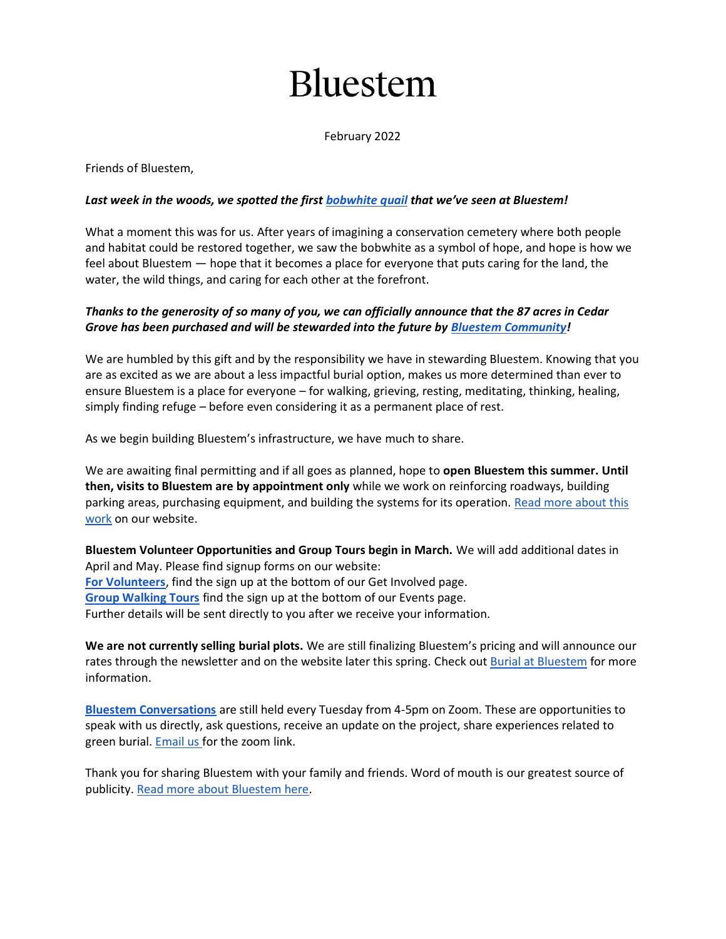# **Bluestem**

February 2022

Friends of Bluestem,

### *Last week in the woods, we spotted the first [bobwhite quail](https://www.allaboutbirds.org/guide/Northern_Bobwhite/photo-gallery/296736641) that we've seen at Bluestem!*

What a moment this was for us. After years of imagining a conservation cemetery where both people and habitat could be restored together, we saw the bobwhite as a symbol of hope, and hope is how we feel about Bluestem — hope that it becomes a place for everyone that puts caring for the land, the water, the wild things, and caring for each other at the forefront.

## *Thanks to the generosity of so many of you, we can officially announce that the 87 acres in Cedar Grove has been purchased and will be stewarded into the future by [Bluestem Community!](https://www.bluestemcommunitync.org/)*

We are humbled by this gift and by the responsibility we have in stewarding Bluestem. Knowing that you are as excited as we are about a less impactful burial option, makes us more determined than ever to ensure Bluestem is a place for everyone – for walking, grieving, resting, meditating, thinking, healing, simply finding refuge – before even considering it as a permanent place of rest.

As we begin building Bluestem's infrastructure, we have much to share.

We are awaiting final permitting and if all goes as planned, hope to **open Bluestem this summer. Until then, visits to Bluestem are by appointment only** while we work on reinforcing roadways, building parking areas, purchasing equipment, and building the systems for its operation. Read more about this [work](https://www.bluestemcemetery.org/build_bluestem.html) on our website.

**Bluestem Volunteer Opportunities and Group Tours begin in March.** We will add additional dates in April and May. Please find signup forms on our website: **[For Volunteers](https://www.bluestemcemetery.org/get_involved.html)**, find the sign up at the bottom of our Get Involved page. **[Group Walking Tours](https://www.bluestemcemetery.org/events.html)** find the sign up at the bottom of our Events page. Further details will be sent directly to you after we receive your information.

**We are not currently selling burial plots.** We are still finalizing Bluestem's pricing and will announce our rates through the newsletter and on the website later this spring. Check out **[Burial at Bluestem](https://www.bluestemcemetery.org/burial-at-bluestem.html)** for more information.

**[Bluestem Conversations](https://www.bluestemcommunitync.org/community_events.html)** are still held every Tuesday from 4-5pm on Zoom. These are opportunities to speak with us directly, ask questions, receive an update on the project, share experiences related to green burial. [Email us](mailto:heidi@bluestemcemetery.org) for the zoom link.

Thank you for sharing Bluestem with your family and friends. Word of mouth is our greatest source of publicity. [Read more about Bluestem here.](https://www.bluestemcemetery.org/buzz_about_bluestem.html)